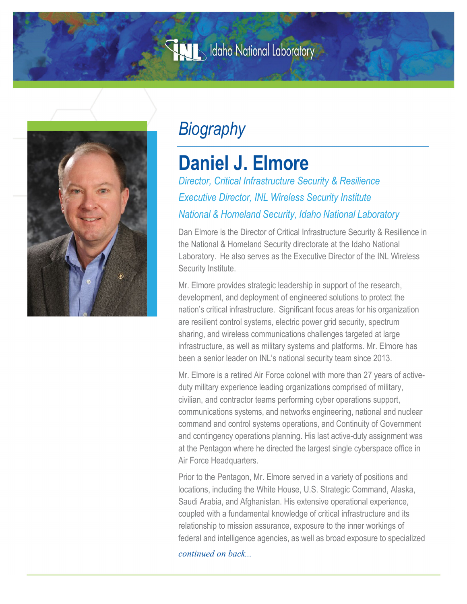## **WIMEN Idaho National Laboratory**



## *Biography*

## **Daniel J. Elmore**

*Director, Critical Infrastructure Security & Resilience Executive Director, INL Wireless Security Institute National & Homeland Security, Idaho National Laboratory*

Dan Elmore is the Director of Critical Infrastructure Security & Resilience in the National & Homeland Security directorate at the Idaho National Laboratory. He also serves as the Executive Director of the INL Wireless Security Institute.

Mr. Elmore provides strategic leadership in support of the research, development, and deployment of engineered solutions to protect the nation's critical infrastructure. Significant focus areas for his organization are resilient control systems, electric power grid security, spectrum sharing, and wireless communications challenges targeted at large infrastructure, as well as military systems and platforms. Mr. Elmore has been a senior leader on INL's national security team since 2013.

Mr. Elmore is a retired Air Force colonel with more than 27 years of activeduty military experience leading organizations comprised of military, civilian, and contractor teams performing cyber operations support, communications systems, and networks engineering, national and nuclear command and control systems operations, and Continuity of Government and contingency operations planning. His last active-duty assignment was at the Pentagon where he directed the largest single cyberspace office in Air Force Headquarters.

Prior to the Pentagon, Mr. Elmore served in a variety of positions and locations, including the White House, U.S. Strategic Command, Alaska, Saudi Arabia, and Afghanistan. His extensive operational experience, coupled with a fundamental knowledge of critical infrastructure and its relationship to mission assurance, exposure to the inner workings of federal and intelligence agencies, as well as broad exposure to specialized

*continued on back...*